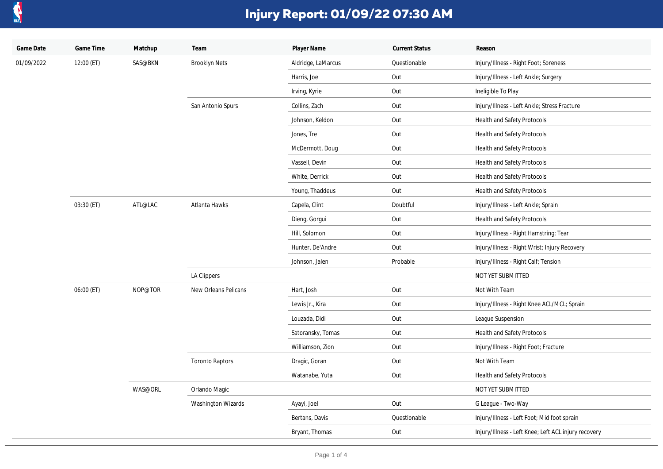

| Game Date  | Game Time  | Matchup | Team                      | Player Name        | <b>Current Status</b> | Reason                                               |
|------------|------------|---------|---------------------------|--------------------|-----------------------|------------------------------------------------------|
| 01/09/2022 | 12:00 (ET) | SAS@BKN | <b>Brooklyn Nets</b>      | Aldridge, LaMarcus | Questionable          | Injury/Illness - Right Foot; Soreness                |
|            |            |         |                           | Harris, Joe        | Out                   | Injury/Illness - Left Ankle; Surgery                 |
|            |            |         |                           | Irving, Kyrie      | Out                   | Ineligible To Play                                   |
|            |            |         | San Antonio Spurs         | Collins, Zach      | Out                   | Injury/Illness - Left Ankle; Stress Fracture         |
|            |            |         |                           | Johnson, Keldon    | Out                   | Health and Safety Protocols                          |
|            |            |         |                           | Jones, Tre         | Out                   | Health and Safety Protocols                          |
|            |            |         |                           | McDermott, Doug    | Out                   | Health and Safety Protocols                          |
|            |            |         |                           | Vassell, Devin     | Out                   | Health and Safety Protocols                          |
|            |            |         |                           | White, Derrick     | Out                   | Health and Safety Protocols                          |
|            |            |         |                           | Young, Thaddeus    | Out                   | Health and Safety Protocols                          |
|            | 03:30 (ET) | ATL@LAC | Atlanta Hawks             | Capela, Clint      | Doubtful              | Injury/Illness - Left Ankle; Sprain                  |
|            |            |         |                           | Dieng, Gorgui      | Out                   | Health and Safety Protocols                          |
|            |            |         |                           | Hill, Solomon      | Out                   | Injury/Illness - Right Hamstring; Tear               |
|            |            |         |                           | Hunter, De'Andre   | Out                   | Injury/Illness - Right Wrist; Injury Recovery        |
|            |            |         |                           | Johnson, Jalen     | Probable              | Injury/Illness - Right Calf; Tension                 |
|            |            |         | <b>LA Clippers</b>        |                    |                       | NOT YET SUBMITTED                                    |
|            | 06:00 (ET) | NOP@TOR | New Orleans Pelicans      | Hart, Josh         | Out                   | Not With Team                                        |
|            |            |         |                           | Lewis Jr., Kira    | Out                   | Injury/Illness - Right Knee ACL/MCL; Sprain          |
|            |            |         |                           | Louzada, Didi      | Out                   | League Suspension                                    |
|            |            |         |                           | Satoransky, Tomas  | Out                   | Health and Safety Protocols                          |
|            |            |         |                           | Williamson, Zion   | Out                   | Injury/Illness - Right Foot; Fracture                |
|            |            |         | <b>Toronto Raptors</b>    | Dragic, Goran      | Out                   | Not With Team                                        |
|            |            |         |                           | Watanabe, Yuta     | Out                   | Health and Safety Protocols                          |
|            |            | WAS@ORL | Orlando Magic             |                    |                       | NOT YET SUBMITTED                                    |
|            |            |         | <b>Washington Wizards</b> | Ayayi, Joel        | Out                   | G League - Two-Way                                   |
|            |            |         |                           | Bertans, Davis     | Questionable          | Injury/Illness - Left Foot; Mid foot sprain          |
|            |            |         |                           | Bryant, Thomas     | Out                   | Injury/Illness - Left Knee; Left ACL injury recovery |
|            |            |         |                           |                    |                       |                                                      |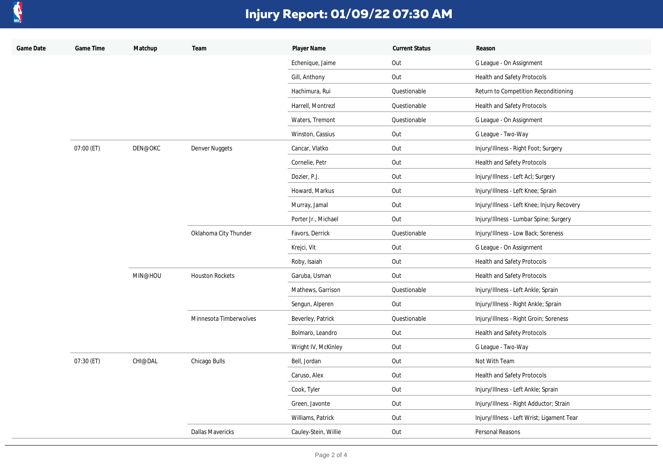

| Game Date | Game Time  | Matchup | Team                    | Player Name          | <b>Current Status</b> | Reason                                      |
|-----------|------------|---------|-------------------------|----------------------|-----------------------|---------------------------------------------|
|           |            |         |                         | Echenique, Jaime     | Out                   | G League - On Assignment                    |
|           |            |         |                         | Gill, Anthony        | Out                   | Health and Safety Protocols                 |
|           |            |         |                         | Hachimura, Rui       | Questionable          | Return to Competition Reconditioning        |
|           |            |         |                         | Harrell, Montrezl    | Questionable          | Health and Safety Protocols                 |
|           |            |         |                         | Waters, Tremont      | Questionable          | G League - On Assignment                    |
|           |            |         |                         | Winston, Cassius     | Out                   | G League - Two-Way                          |
|           | 07:00 (ET) | DEN@OKC | Denver Nuggets          | Cancar, Vlatko       | Out                   | Injury/Illness - Right Foot; Surgery        |
|           |            |         |                         | Cornelie, Petr       | Out                   | Health and Safety Protocols                 |
|           |            |         |                         | Dozier, P.J.         | Out                   | Injury/Illness - Left Acl; Surgery          |
|           |            |         |                         | Howard, Markus       | Out                   | Injury/Illness - Left Knee; Sprain          |
|           |            |         |                         | Murray, Jamal        | Out                   | Injury/Illness - Left Knee; Injury Recovery |
|           |            |         |                         | Porter Jr., Michael  | Out                   | Injury/Illness - Lumbar Spine; Surgery      |
|           |            |         | Oklahoma City Thunder   | Favors, Derrick      | Questionable          | Injury/Illness - Low Back; Soreness         |
|           |            |         |                         | Krejci, Vit          | Out                   | G League - On Assignment                    |
|           |            |         |                         | Roby, Isaiah         | Out                   | Health and Safety Protocols                 |
|           |            | MIN@HOU | <b>Houston Rockets</b>  | Garuba, Usman        | Out                   | Health and Safety Protocols                 |
|           |            |         |                         | Mathews, Garrison    | Questionable          | Injury/Illness - Left Ankle; Sprain         |
|           |            |         |                         | Sengun, Alperen      | Out                   | Injury/Illness - Right Ankle; Sprain        |
|           |            |         | Minnesota Timberwolves  | Beverley, Patrick    | Questionable          | Injury/Illness - Right Groin; Soreness      |
|           |            |         |                         | Bolmaro, Leandro     | Out                   | Health and Safety Protocols                 |
|           |            |         |                         | Wright IV, McKinley  | Out                   | G League - Two-Way                          |
|           | 07:30 (ET) | CHI@DAL | Chicago Bulls           | Bell, Jordan         | Out                   | Not With Team                               |
|           |            |         |                         | Caruso, Alex         | Out                   | Health and Safety Protocols                 |
|           |            |         |                         | Cook, Tyler          | Out                   | Injury/Illness - Left Ankle; Sprain         |
|           |            |         |                         | Green, Javonte       | Out                   | Injury/Illness - Right Adductor; Strain     |
|           |            |         |                         | Williams, Patrick    | Out                   | Injury/Illness - Left Wrist; Ligament Tear  |
|           |            |         | <b>Dallas Mavericks</b> | Cauley-Stein, Willie | Out                   | Personal Reasons                            |
|           |            |         |                         |                      |                       |                                             |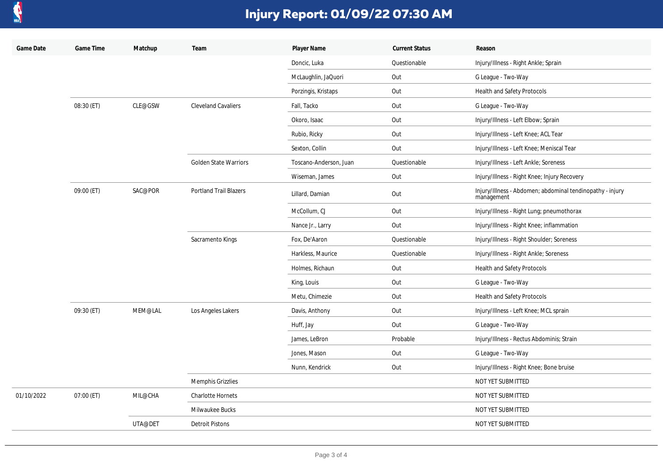

| Game Date  | Game Time  | Matchup | Team                          | Player Name            | <b>Current Status</b> | Reason                                                                  |
|------------|------------|---------|-------------------------------|------------------------|-----------------------|-------------------------------------------------------------------------|
|            |            |         |                               | Doncic, Luka           | Questionable          | Injury/Illness - Right Ankle; Sprain                                    |
|            |            |         |                               | McLaughlin, JaQuori    | Out                   | G League - Two-Way                                                      |
|            |            |         |                               | Porzingis, Kristaps    | Out                   | Health and Safety Protocols                                             |
|            | 08:30 (ET) | CLE@GSW | <b>Cleveland Cavaliers</b>    | Fall, Tacko            | Out                   | G League - Two-Way                                                      |
|            |            |         |                               | Okoro, Isaac           | Out                   | Injury/Illness - Left Elbow; Sprain                                     |
|            |            |         |                               | Rubio, Ricky           | Out                   | Injury/Illness - Left Knee; ACL Tear                                    |
|            |            |         |                               | Sexton, Collin         | Out                   | Injury/Illness - Left Knee; Meniscal Tear                               |
|            |            |         | <b>Golden State Warriors</b>  | Toscano-Anderson, Juan | Questionable          | Injury/Illness - Left Ankle; Soreness                                   |
|            |            |         |                               | Wiseman, James         | Out                   | Injury/Illness - Right Knee; Injury Recovery                            |
|            | 09:00 (ET) | SAC@POR | <b>Portland Trail Blazers</b> | Lillard, Damian        | Out                   | Injury/Illness - Abdomen; abdominal tendinopathy - injury<br>management |
|            |            |         |                               | McCollum, CJ           | Out                   | Injury/Illness - Right Lung; pneumothorax                               |
|            |            |         |                               | Nance Jr., Larry       | Out                   | Injury/Illness - Right Knee; inflammation                               |
|            |            |         | Sacramento Kings              | Fox, De'Aaron          | Questionable          | Injury/Illness - Right Shoulder; Soreness                               |
|            |            |         |                               | Harkless, Maurice      | Questionable          | Injury/Illness - Right Ankle; Soreness                                  |
|            |            |         |                               | Holmes, Richaun        | Out                   | Health and Safety Protocols                                             |
|            |            |         |                               | King, Louis            | Out                   | G League - Two-Way                                                      |
|            |            |         |                               | Metu, Chimezie         | Out                   | Health and Safety Protocols                                             |
|            | 09:30 (ET) | MEM@LAL | Los Angeles Lakers            | Davis, Anthony         | Out                   | Injury/Illness - Left Knee; MCL sprain                                  |
|            |            |         |                               | Huff, Jay              | Out                   | G League - Two-Way                                                      |
|            |            |         |                               | James, LeBron          | Probable              | Injury/Illness - Rectus Abdominis; Strain                               |
|            |            |         |                               | Jones, Mason           | Out                   | G League - Two-Way                                                      |
|            |            |         |                               | Nunn, Kendrick         | Out                   | Injury/Illness - Right Knee; Bone bruise                                |
|            |            |         | Memphis Grizzlies             |                        |                       | NOT YET SUBMITTED                                                       |
| 01/10/2022 | 07:00 (ET) | MIL@CHA | <b>Charlotte Hornets</b>      |                        |                       | NOT YET SUBMITTED                                                       |
|            |            |         | Milwaukee Bucks               |                        |                       | NOT YET SUBMITTED                                                       |
|            |            | UTA@DET | <b>Detroit Pistons</b>        |                        |                       | NOT YET SUBMITTED                                                       |
|            |            |         |                               |                        |                       |                                                                         |